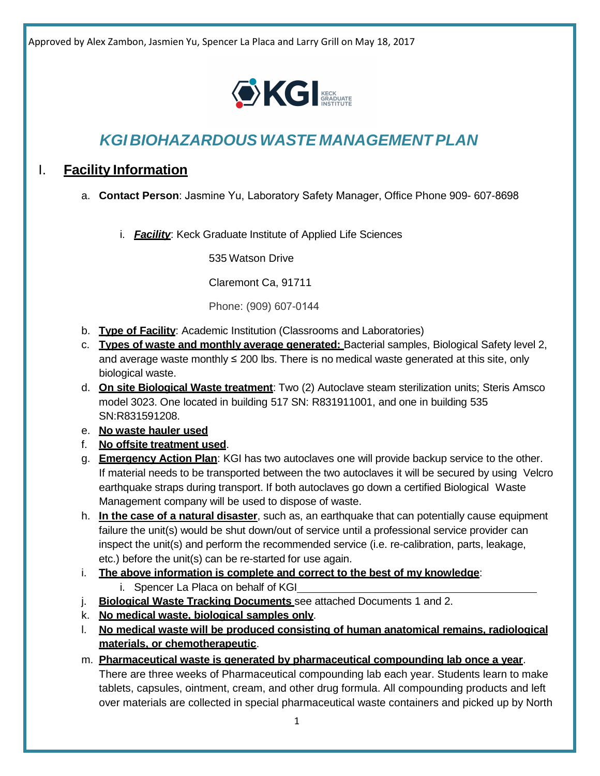

# *KGI BIOHAZARDOUS WASTE MANAGEMENT PLAN*

## I. **Facility Information**

a. **Contact Person**: Jasmine Yu, Laboratory Safety Manager, Office Phone 909- 607-8698

i. *Facility*: Keck Graduate Institute of Applied Life Sciences

535 Watson Drive

Claremont Ca, 91711

Phone: (909) 607-0144

- b. **Type of Facility**: Academic Institution (Classrooms and Laboratories)
- c. **Types of waste and monthly average generated:** Bacterial samples, Biological Safety level 2, and average waste monthly  $\leq 200$  lbs. There is no medical waste generated at this site, only biological waste.
- d. **On site Biological Waste treatment**: Two (2) Autoclave steam sterilization units; Steris Amsco model 3023. One located in building 517 SN: R831911001, and one in building 535 SN:R831591208.
- e. **No waste hauler used**
- f. **No offsite treatment used**.
- g. **Emergency Action Plan**: KGI has two autoclaves one will provide backup service to the other. If material needs to be transported between the two autoclaves it will be secured by using Velcro earthquake straps during transport. If both autoclaves go down a certified Biological Waste Management company will be used to dispose of waste.
- h. **In the case of a natural disaster**, such as, an earthquake that can potentially cause equipment failure the unit(s) would be shut down/out of service until a professional service provider can inspect the unit(s) and perform the recommended service (i.e. re-calibration, parts, leakage, etc.) before the unit(s) can be re-started for use again.
- i. **The above information is complete and correct to the best of my knowledge**: i. Spencer La Placa on behalf of KGI
- j. **Biological Waste Tracking Documents** see attached Documents 1 and 2.
- k. **No medical waste, biological samples only**.
- l. **No medical waste will be produced consisting of human anatomical remains, radiological materials, or chemotherapeutic**.
- m. **Pharmaceutical waste is generated by pharmaceutical compounding lab once a year**. There are three weeks of Pharmaceutical compounding lab each year. Students learn to make tablets, capsules, ointment, cream, and other drug formula. All compounding products and left over materials are collected in special pharmaceutical waste containers and picked up by North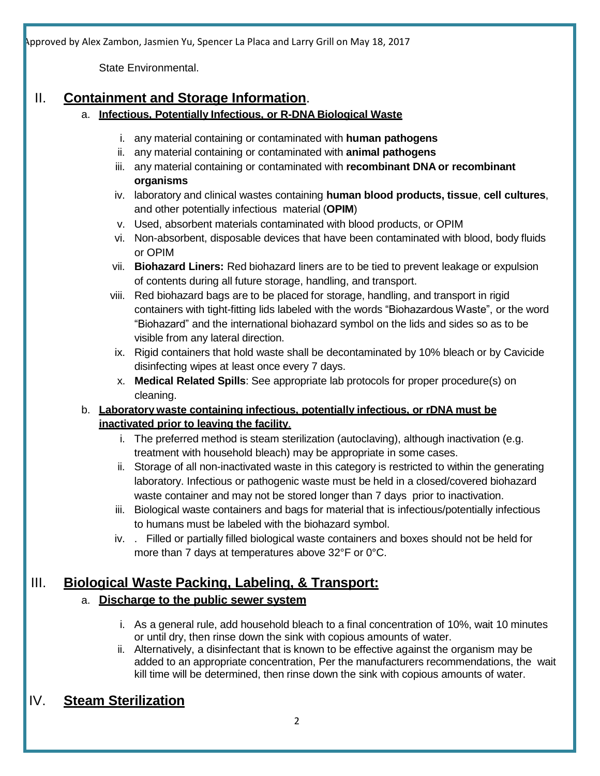State Environmental.

## II. **Containment and Storage Information**.

- a. **Infectious, Potentially Infectious, or R-DNA Biological Waste**
	- i. any material containing or contaminated with **human pathogens**
	- ii. any material containing or contaminated with **animal pathogens**
	- iii. any material containing or contaminated with **recombinant DNA or recombinant organisms**
	- iv. laboratory and clinical wastes containing **human blood products, tissue**, **cell cultures**, and other potentially infectious material (**OPIM**)
	- v. Used, absorbent materials contaminated with blood products, or OPIM
	- vi. Non-absorbent, disposable devices that have been contaminated with blood, body fluids or OPIM
	- vii. **Biohazard Liners:** Red biohazard liners are to be tied to prevent leakage or expulsion of contents during all future storage, handling, and transport.
	- viii. Red biohazard bags are to be placed for storage, handling, and transport in rigid containers with tight-fitting lids labeled with the words "Biohazardous Waste", or the word "Biohazard" and the international biohazard symbol on the lids and sides so as to be visible from any lateral direction.
	- ix. Rigid containers that hold waste shall be decontaminated by 10% bleach or by Cavicide disinfecting wipes at least once every 7 days.
	- x. **Medical Related Spills**: See appropriate lab protocols for proper procedure(s) on cleaning.

### b. **Laboratory waste containing infectious, potentially infectious, or rDNA must be inactivated prior to leaving the facility**.

- i. The preferred method is steam sterilization (autoclaving), although inactivation (e.g. treatment with household bleach) may be appropriate in some cases.
- ii. Storage of all non-inactivated waste in this category is restricted to within the generating laboratory. Infectious or pathogenic waste must be held in a closed/covered biohazard waste container and may not be stored longer than 7 days prior to inactivation.
- iii. Biological waste containers and bags for material that is infectious/potentially infectious to humans must be labeled with the biohazard symbol.
- iv. . Filled or partially filled biological waste containers and boxes should not be held for more than 7 days at temperatures above 32°F or 0°C.

## III. **Biological Waste Packing, Labeling, & Transport:**

## a. **Discharge to the public sewer system**

- i. As a general rule, add household bleach to a final concentration of 10%, wait 10 minutes or until dry, then rinse down the sink with copious amounts of water.
- ii. Alternatively, a disinfectant that is known to be effective against the organism may be added to an appropriate concentration, Per the manufacturers recommendations, the wait kill time will be determined, then rinse down the sink with copious amounts of water.

## IV. **Steam Sterilization**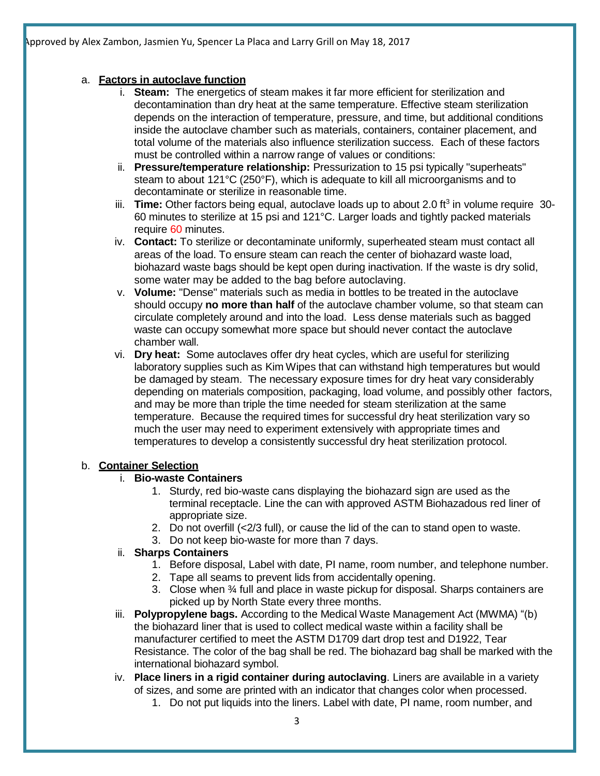### a. **Factors in autoclave function**

- i. **Steam:** The energetics of steam makes it far more efficient for sterilization and decontamination than dry heat at the same temperature. Effective steam sterilization depends on the interaction of temperature, pressure, and time, but additional conditions inside the autoclave chamber such as materials, containers, container placement, and total volume of the materials also influence sterilization success. Each of these factors must be controlled within a narrow range of values or conditions:
- ii. **Pressure/temperature relationship:** Pressurization to 15 psi typically "superheats" steam to about 121°C (250°F), which is adequate to kill all microorganisms and to decontaminate or sterilize in reasonable time.
- iii. **Time:** Other factors being equal, autoclave loads up to about 2.0 ft<sup>3</sup> in volume require 30-60 minutes to sterilize at 15 psi and 121°C. Larger loads and tightly packed materials require 60 minutes.
- iv. **Contact:** To sterilize or decontaminate uniformly, superheated steam must contact all areas of the load. To ensure steam can reach the center of biohazard waste load, biohazard waste bags should be kept open during inactivation. If the waste is dry solid, some water may be added to the bag before autoclaving.
- v. **Volume:** "Dense" materials such as media in bottles to be treated in the autoclave should occupy **no more than half** of the autoclave chamber volume, so that steam can circulate completely around and into the load. Less dense materials such as bagged waste can occupy somewhat more space but should never contact the autoclave chamber wall.
- vi. **Dry heat:** Some autoclaves offer dry heat cycles, which are useful for sterilizing laboratory supplies such as Kim Wipes that can withstand high temperatures but would be damaged by steam. The necessary exposure times for dry heat vary considerably depending on materials composition, packaging, load volume, and possibly other factors, and may be more than triple the time needed for steam sterilization at the same temperature. Because the required times for successful dry heat sterilization vary so much the user may need to experiment extensively with appropriate times and temperatures to develop a consistently successful dry heat sterilization protocol.

### b. **Container Selection**

### i. **Bio-waste Containers**

- 1. Sturdy, red bio-waste cans displaying the biohazard sign are used as the terminal receptacle. Line the can with approved ASTM Biohazadous red liner of appropriate size.
- 2. Do not overfill (<2/3 full), or cause the lid of the can to stand open to waste.
- 3. Do not keep bio-waste for more than 7 days.

### ii. **Sharps Containers**

- 1. Before disposal, Label with date, PI name, room number, and telephone number.
- 2. Tape all seams to prevent lids from accidentally opening.
- 3. Close when  $\frac{3}{4}$  full and place in waste pickup for disposal. Sharps containers are picked up by North State every three months.
- iii. **Polypropylene bags.** According to the Medical Waste Management Act (MWMA) "(b) the biohazard liner that is used to collect medical waste within a facility shall be manufacturer certified to meet the ASTM D1709 dart drop test and D1922, Tear Resistance. The color of the bag shall be red. The biohazard bag shall be marked with the international biohazard symbol.
- iv. **Place liners in a rigid container during autoclaving**. Liners are available in a variety of sizes, and some are printed with an indicator that changes color when processed.
	- 1. Do not put liquids into the liners. Label with date, PI name, room number, and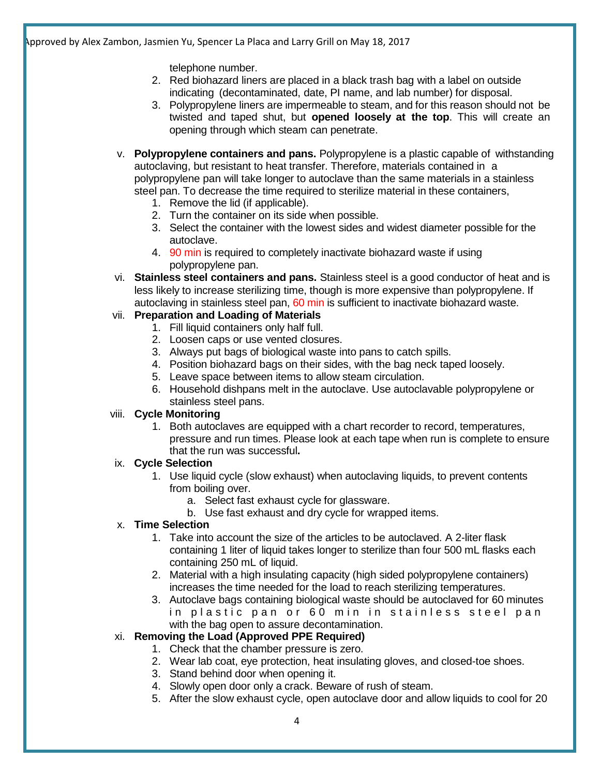telephone number.

- 2. Red biohazard liners are placed in a black trash bag with a label on outside indicating (decontaminated, date, PI name, and lab number) for disposal.
- 3. Polypropylene liners are impermeable to steam, and for this reason should not be twisted and taped shut, but **opened loosely at the top**. This will create an opening through which steam can penetrate.
- v. **Polypropylene containers and pans.** Polypropylene is a plastic capable of withstanding autoclaving, but resistant to heat transfer. Therefore, materials contained in a polypropylene pan will take longer to autoclave than the same materials in a stainless steel pan. To decrease the time required to sterilize material in these containers,
	- 1. Remove the lid (if applicable).
	- 2. Turn the container on its side when possible.
	- 3. Select the container with the lowest sides and widest diameter possible for the autoclave.
	- 4. 90 min is required to completely inactivate biohazard waste if using polypropylene pan.
- vi. **Stainless steel containers and pans.** Stainless steel is a good conductor of heat and is less likely to increase sterilizing time, though is more expensive than polypropylene. If autoclaving in stainless steel pan, 60 min is sufficient to inactivate biohazard waste.

#### vii. **Preparation and Loading of Materials**

- 1. Fill liquid containers only half full.
- 2. Loosen caps or use vented closures.
- 3. Always put bags of biological waste into pans to catch spills.
- 4. Position biohazard bags on their sides, with the bag neck taped loosely.
- 5. Leave space between items to allow steam circulation.
- 6. Household dishpans melt in the autoclave. Use autoclavable polypropylene or stainless steel pans.

#### viii. **Cycle Monitoring**

1. Both autoclaves are equipped with a chart recorder to record, temperatures, pressure and run times. Please look at each tape when run is complete to ensure that the run was successful**.**

#### ix. **Cycle Selection**

- 1. Use liquid cycle (slow exhaust) when autoclaving liquids, to prevent contents from boiling over.
	- a. Select fast exhaust cycle for glassware.
	- b. Use fast exhaust and dry cycle for wrapped items.

#### x. **Time Selection**

- 1. Take into account the size of the articles to be autoclaved. A 2-liter flask containing 1 liter of liquid takes longer to sterilize than four 500 mL flasks each containing 250 mL of liquid.
- 2. Material with a high insulating capacity (high sided polypropylene containers) increases the time needed for the load to reach sterilizing temperatures.
- 3. Autoclave bags containing biological waste should be autoclaved for 60 minutes in plastic pan or 60 min in stainless steel pan with the bag open to assure decontamination.

#### xi. **Removing the Load (Approved PPE Required)**

- 1. Check that the chamber pressure is zero.
- 2. Wear lab coat, eye protection, heat insulating gloves, and closed-toe shoes.
- 3. Stand behind door when opening it.
- 4. Slowly open door only a crack. Beware of rush of steam.
- 5. After the slow exhaust cycle, open autoclave door and allow liquids to cool for 20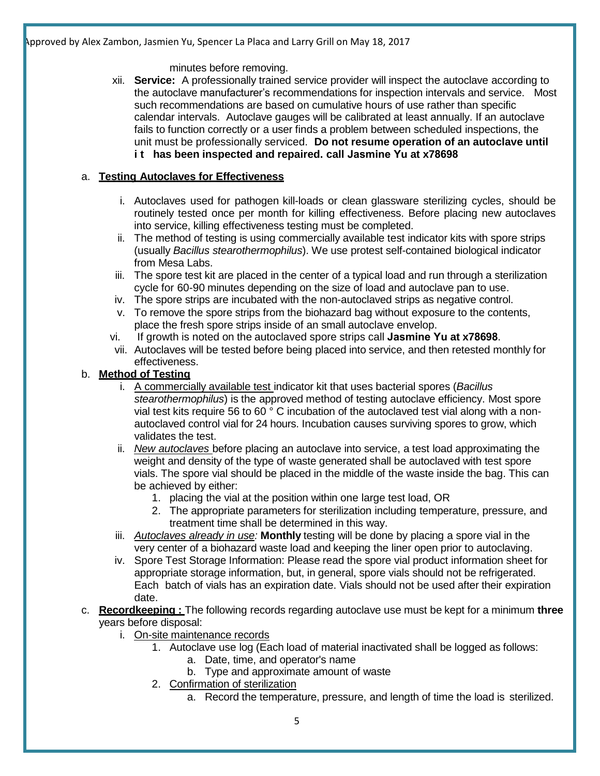#### minutes before removing.

xii. **Service:** A professionally trained service provider will inspect the autoclave according to the autoclave manufacturer's recommendations for inspection intervals and service. Most such recommendations are based on cumulative hours of use rather than specific calendar intervals. Autoclave gauges will be calibrated at least annually. If an autoclave fails to function correctly or a user finds a problem between scheduled inspections, the unit must be professionally serviced. **Do not resume operation of an autoclave until i t has been inspected and repaired. call Jasmine Yu at x78698**

### a. **Testing Autoclaves for Effectiveness**

- i. Autoclaves used for pathogen kill-loads or clean glassware sterilizing cycles, should be routinely tested once per month for killing effectiveness. Before placing new autoclaves into service, killing effectiveness testing must be completed.
- ii. The method of testing is using commercially available test indicator kits with spore strips (usually *Bacillus stearothermophilus*). We use protest self-contained biological indicator from Mesa Labs.
- iii. The spore test kit are placed in the center of a typical load and run through a sterilization cycle for 60-90 minutes depending on the size of load and autoclave pan to use.
- iv. The spore strips are incubated with the non-autoclaved strips as negative control.
- v. To remove the spore strips from the biohazard bag without exposure to the contents, place the fresh spore strips inside of an small autoclave envelop.
- vi. If growth is noted on the autoclaved spore strips call **Jasmine Yu at x78698**.
- vii. Autoclaves will be tested before being placed into service, and then retested monthly for effectiveness.

### b. **Method of Testing**

- i. A commercially available test indicator kit that uses bacterial spores (*Bacillus stearothermophilus*) is the approved method of testing autoclave efficiency. Most spore vial test kits require 56 to 60 ° C incubation of the autoclaved test vial along with a nonautoclaved control vial for 24 hours. Incubation causes surviving spores to grow, which validates the test.
- ii. *New autoclaves* before placing an autoclave into service, a test load approximating the weight and density of the type of waste generated shall be autoclaved with test spore vials. The spore vial should be placed in the middle of the waste inside the bag. This can be achieved by either:
	- 1. placing the vial at the position within one large test load, OR
	- 2. The appropriate parameters for sterilization including temperature, pressure, and treatment time shall be determined in this way.
- iii. *Autoclaves already in use:* **Monthly** testing will be done by placing a spore vial in the very center of a biohazard waste load and keeping the liner open prior to autoclaving.
- iv. Spore Test Storage Information: Please read the spore vial product information sheet for appropriate storage information, but, in general, spore vials should not be refrigerated. Each batch of vials has an expiration date. Vials should not be used after their expiration date.
- c. **Recordkeeping :** The following records regarding autoclave use must be kept for a minimum **three** years before disposal:
	- i. On-site maintenance records
		- 1. Autoclave use log (Each load of material inactivated shall be logged as follows:
			- a. Date, time, and operator's name
			- b. Type and approximate amount of waste
		- 2. Confirmation of sterilization
			- a. Record the temperature, pressure, and length of time the load is sterilized.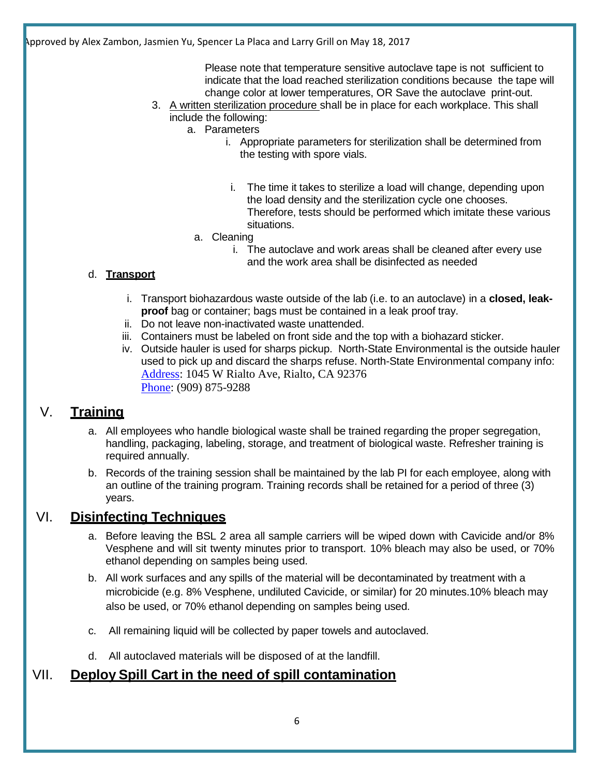Please note that temperature sensitive autoclave tape is not sufficient to indicate that the load reached sterilization conditions because the tape will change color at lower temperatures, OR Save the autoclave print-out.

- 3. A written sterilization procedure shall be in place for each workplace. This shall include the following:
	- a. Parameters
		- i. Appropriate parameters for sterilization shall be determined from the testing with spore vials.
		- i. The time it takes to sterilize a load will change, depending upon the load density and the sterilization cycle one chooses. Therefore, tests should be performed which imitate these various situations.
		- a. Cleaning
			- i. The autoclave and work areas shall be cleaned after every use and the work area shall be disinfected as needed

### d. **Transport**

- i. Transport biohazardous waste outside of the lab (i.e. to an autoclave) in a **closed, leakproof** bag or container; bags must be contained in a leak proof tray.
- ii. Do not leave non-inactivated waste unattended.
- iii. Containers must be labeled on front side and the top with a biohazard sticker.
- iv. Outside hauler is used for sharps pickup. North-State Environmental is the outside hauler used to pick up and discard the sharps refuse. North-State Environmental company info: [Address:](https://www.google.com/search?biw=1920&bih=959&q=north+state+environmental+address&stick=H4sIAAAAAAAAAOPgE-LRT9c3NDIzzCoyNyrWks1OttLPyU9OLMnMz4MzrBJTUopSi4sBfNxweS8AAAA&sa=X&ved=0ahUKEwjGi92qsffTAhVNyGMKHX5sBw4Q6BMIeTAO) 1045 W Rialto Ave, Rialto, CA 92376 [Phone:](https://www.google.com/search?biw=1920&bih=959&q=north+state+environmental+phone&sa=X&ved=0ahUKEwjGi92qsffTAhVNyGMKHX5sBw4Q6BMIfDAP) (909) 875-9288

## V. **Training**

- a. All employees who handle biological waste shall be trained regarding the proper segregation, handling, packaging, labeling, storage, and treatment of biological waste. Refresher training is required annually.
- b. Records of the training session shall be maintained by the lab PI for each employee, along with an outline of the training program. Training records shall be retained for a period of three (3) years.

## VI. **Disinfecting Techniques**

- a. Before leaving the BSL 2 area all sample carriers will be wiped down with Cavicide and/or 8% Vesphene and will sit twenty minutes prior to transport. 10% bleach may also be used, or 70% ethanol depending on samples being used.
- b. All work surfaces and any spills of the material will be decontaminated by treatment with a microbicide (e.g. 8% Vesphene, undiluted Cavicide, or similar) for 20 minutes.10% bleach may also be used, or 70% ethanol depending on samples being used.
- c. All remaining liquid will be collected by paper towels and autoclaved.
- d. All autoclaved materials will be disposed of at the landfill.

## VII. **Deploy Spill Cart in the need of spill contamination**